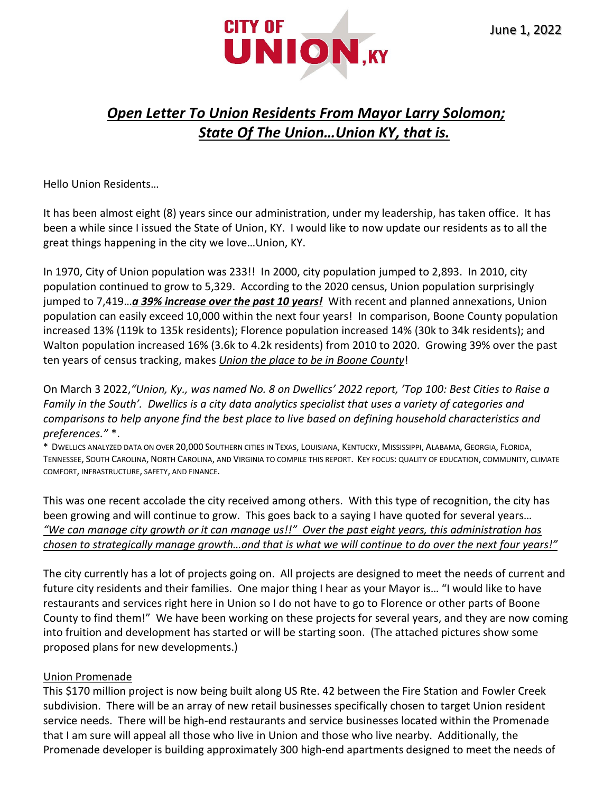

# *Open Letter To Union Residents From Mayor Larry Solomon; State Of The Union…Union KY, that is.*

Hello Union Residents…

It has been almost eight (8) years since our administration, under my leadership, has taken office. It has been a while since I issued the State of Union, KY. I would like to now update our residents as to all the great things happening in the city we love…Union, KY.

In 1970, City of Union population was 233!! In 2000, city population jumped to 2,893. In 2010, city population continued to grow to 5,329. According to the 2020 census, Union population surprisingly jumped to 7,419…*a 39% increase over the past 10 years!* With recent and planned annexations, Union population can easily exceed 10,000 within the next four years! In comparison, Boone County population increased 13% (119k to 135k residents); Florence population increased 14% (30k to 34k residents); and Walton population increased 16% (3.6k to 4.2k residents) from 2010 to 2020. Growing 39% over the past ten years of census tracking, makes *Union the place to be in Boone County*!

On March 3 2022,*"Union, Ky., was named No. 8 on Dwellics' 2022 report, ['Top 100: Best Cities to Raise a](https://c212.net/c/link/?t=0&l=en&o=3457465-1&h=2064336912&u=https%3A%2F%2Fdwellics.com%2Frankings%2Fbest-cities-raise-family-south-2022&a=Top+100%3A+Best+Cities+to+Raise+a+Family+in+the+South)  [Family in the South'](https://c212.net/c/link/?t=0&l=en&o=3457465-1&h=2064336912&u=https%3A%2F%2Fdwellics.com%2Frankings%2Fbest-cities-raise-family-south-2022&a=Top+100%3A+Best+Cities+to+Raise+a+Family+in+the+South). Dwellics is a city data analytics specialist that uses a variety of categories and comparisons to help anyone find the best place to live based on defining household characteristics and preferences."* \*.

\* DWELLICS ANALYZED DATA ON OVER 20,000 SOUTHERN CITIES IN TEXAS, LOUISIANA, KENTUCKY, MISSISSIPPI, ALABAMA, GEORGIA, FLORIDA, TENNESSEE, SOUTH CAROLINA, NORTH CAROLINA, AND VIRGINIA TO COMPILE THIS REPORT. KEY FOCUS: QUALITY OF EDUCATION, COMMUNITY, CLIMATE COMFORT, INFRASTRUCTURE, SAFETY, AND FINANCE.

This was one recent accolade the city received among others. With this type of recognition, the city has been growing and will continue to grow. This goes back to a saying I have quoted for several years… *"We can manage city growth or it can manage us!!" Over the past eight years, this administration has chosen to strategically manage growth…and that is what we will continue to do over the next four years!"*

The city currently has a lot of projects going on. All projects are designed to meet the needs of current and future city residents and their families. One major thing I hear as your Mayor is… "I would like to have restaurants and services right here in Union so I do not have to go to Florence or other parts of Boone County to find them!" We have been working on these projects for several years, and they are now coming into fruition and development has started or will be starting soon. (The attached pictures show some proposed plans for new developments.)

### Union Promenade

This \$170 million project is now being built along US Rte. 42 between the Fire Station and Fowler Creek subdivision. There will be an array of new retail businesses specifically chosen to target Union resident service needs. There will be high-end restaurants and service businesses located within the Promenade that I am sure will appeal all those who live in Union and those who live nearby. Additionally, the Promenade developer is building approximately 300 high-end apartments designed to meet the needs of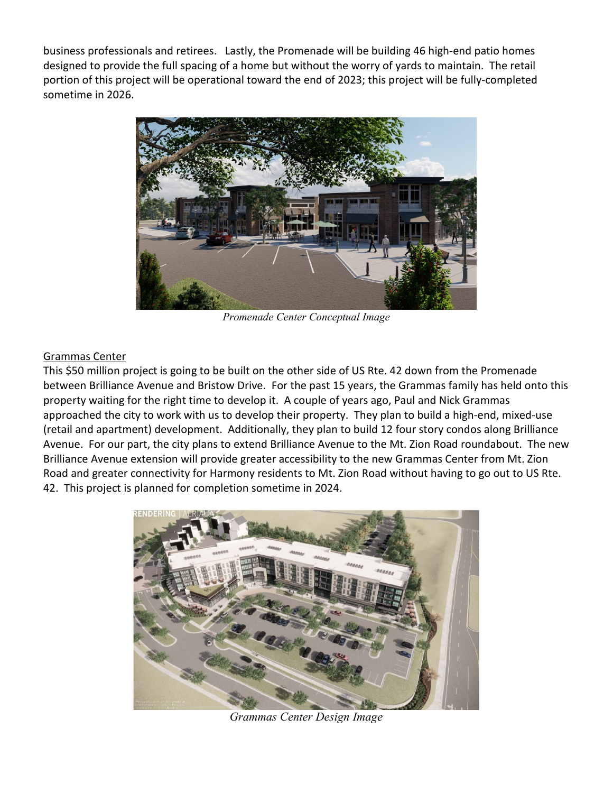business professionals and retirees. Lastly, the Promenade will be building 46 high-end patio homes designed to provide the full spacing of a home but without the worry of yards to maintain. The retail portion of this project will be operational toward the end of 2023; this project will be fully-completed sometime in 2026.



*Promenade Center Conceptual Image*

#### Grammas Center

This \$50 million project is going to be built on the other side of US Rte. 42 down from the Promenade between Brilliance Avenue and Bristow Drive. For the past 15 years, the Grammas family has held onto this property waiting for the right time to develop it. A couple of years ago, Paul and Nick Grammas approached the city to work with us to develop their property. They plan to build a high-end, mixed-use (retail and apartment) development. Additionally, they plan to build 12 four story condos along Brilliance Avenue. For our part, the city plans to extend Brilliance Avenue to the Mt. Zion Road roundabout. The new Brilliance Avenue extension will provide greater accessibility to the new Grammas Center from Mt. Zion Road and greater connectivity for Harmony residents to Mt. Zion Road without having to go out to US Rte. 42. This project is planned for completion sometime in 2024.



*Grammas Center Design Image*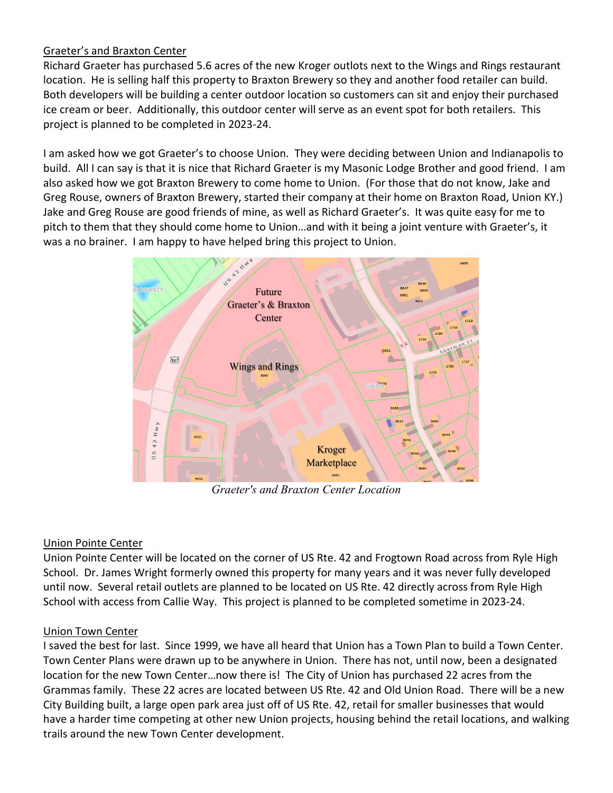## Graeter's and Braxton Center

Richard Graeter has purchased 5.6 acres of the new Kroger outlots next to the Wings and Rings restaurant location. He is selling half this property to Braxton Brewery so they and another food retailer can build. Both developers will be building a center outdoor location so customers can sit and enjoy their purchased ice cream or beer. Additionally, this outdoor center will serve as an event spot for both retailers. This project is planned to be completed in 2023-24.

I am asked how we got Graeter's to choose Union. They were deciding between Union and Indianapolis to build. All I can say is that it is nice that Richard Graeter is my Masonic Lodge Brother and good friend. I am also asked how we got Braxton Brewery to come home to Union. (For those that do not know, Jake and Greg Rouse, owners of Braxton Brewery, started their company at their home on Braxton Road, Union KY.) Jake and Greg Rouse are good friends of mine, as well as Richard Graeter's. It was quite easy for me to pitch to them that they should come home to Union…and with it being a joint venture with Graeter's, it was a no brainer. I am happy to have helped bring this project to Union.



*Graeter's and Braxton Center Location*

# Union Pointe Center

Union Pointe Center will be located on the corner of US Rte. 42 and Frogtown Road across from Ryle High School. Dr. James Wright formerly owned this property for many years and it was never fully developed until now. Several retail outlets are planned to be located on US Rte. 42 directly across from Ryle High School with access from Callie Way. This project is planned to be completed sometime in 2023-24.

# Union Town Center

I saved the best for last. Since 1999, we have all heard that Union has a Town Plan to build a Town Center. Town Center Plans were drawn up to be anywhere in Union. There has not, until now, been a designated location for the new Town Center…now there is! The City of Union has purchased 22 acres from the Grammas family. These 22 acres are located between US Rte. 42 and Old Union Road. There will be a new City Building built, a large open park area just off of US Rte. 42, retail for smaller businesses that would have a harder time competing at other new Union projects, housing behind the retail locations, and walking trails around the new Town Center development.